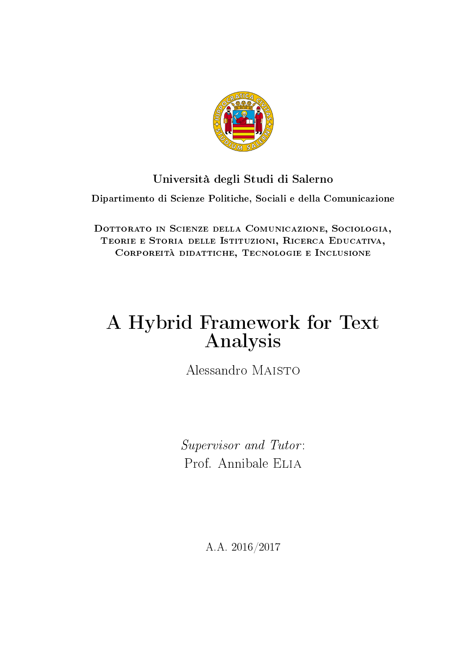

## Università degli Studi di Salerno

Dipartimento di Scienze Politiche, Sociali e della Comunicazione

DOTTORATO IN SCIENZE DELLA COMUNICAZIONE, SOCIOLOGIA, Teorie e Storia delle Istituzioni, Ricerca Educativa, Corporeità didattiche, Tecnologie e Inclusione

## A Hybrid Framework for Text Analysis

Alessandro Maisto

Supervisor and Tutor: Prof. Annibale Elia

A.A. 2016/2017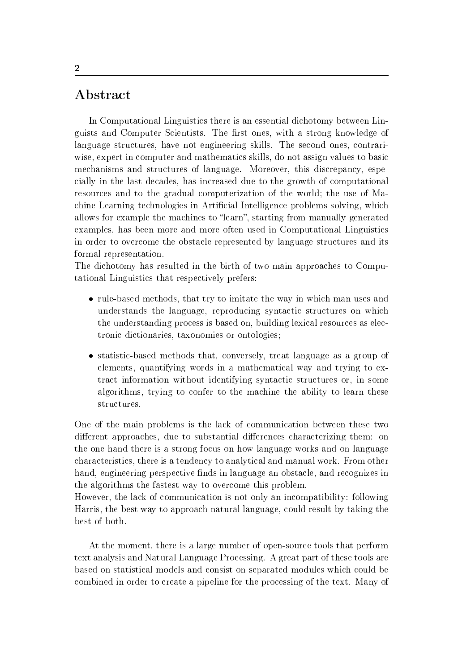## Abstract

In Computational Linguistics there is an essential dichotomy between Linguists and Computer Scientists. The first ones, with a strong knowledge of language structures, have not engineering skills. The second ones, contrariwise, expert in computer and mathematics skills, do not assign values to basic mechanisms and structures of language. Moreover, this discrepancy, especially in the last decades, has increased due to the growth of computational resources and to the gradual computerization of the world; the use of Machine Learning technologies in Artificial Intelligence problems solving, which allows for example the machines to "learn", starting from manually generated examples, has been more and more often used in Computational Linguistics in order to overcome the obstacle represented by language structures and its formal representation.

The dichotomy has resulted in the birth of two main approaches to Computational Linguistics that respectively prefers:

- rule-based methods, that try to imitate the way in which man uses and understands the language, reproducing syntactic structures on which the understanding process is based on, building lexical resources as electronic dictionaries, taxonomies or ontologies;
- statistic-based methods that, conversely, treat language as a group of elements, quantifying words in a mathematical way and trying to extract information without identifying syntactic structures or, in some algorithms, trying to confer to the machine the ability to learn these structures.

One of the main problems is the lack of communication between these two different approaches, due to substantial differences characterizing them: on the one hand there is a strong focus on how language works and on language characteristics, there is a tendency to analytical and manual work. From other hand, engineering perspective finds in language an obstacle, and recognizes in the algorithms the fastest way to overcome this problem.

However, the lack of communication is not only an incompatibility: following Harris, the best way to approach natural language, could result by taking the best of both.

At the moment, there is a large number of open-source tools that perform text analysis and Natural Language Processing. A great part of these tools are based on statistical models and consist on separated modules which could be combined in order to create a pipeline for the processing of the text. Many of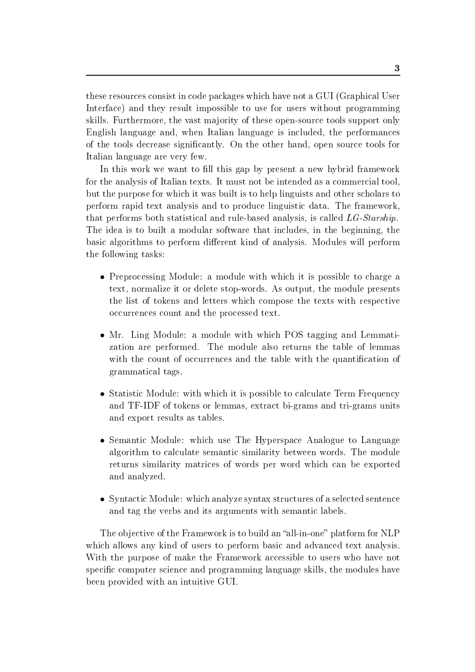these resources consist in code packages which have not a GUI (Graphical User Interface) and they result impossible to use for users without programming skills. Furthermore, the vast majority of these open-source tools support only English language and, when Italian language is included, the performances of the tools decrease signicantly. On the other hand, open source tools for Italian language are very few.

In this work we want to fill this gap by present a new hybrid framework for the analysis of Italian texts. It must not be intended as a commercial tool, but the purpose for which it was built is to help linguists and other scholars to perform rapid text analysis and to produce linguistic data. The framework, that performs both statistical and rule-based analysis, is called LG-Starship. The idea is to built a modular software that includes, in the beginning, the basic algorithms to perform different kind of analysis. Modules will perform the following tasks:

- Preprocessing Module: a module with which it is possible to charge a text, normalize it or delete stop-words. As output, the module presents the list of tokens and letters which compose the texts with respective occurrences count and the processed text.
- Mr. Ling Module: a module with which POS tagging and Lemmatization are performed. The module also returns the table of lemmas with the count of occurrences and the table with the quantification of grammatical tags.
- Statistic Module: with which it is possible to calculate Term Frequency and TF-IDF of tokens or lemmas, extract bi-grams and tri-grams units and export results as tables.
- Semantic Module: which use The Hyperspace Analogue to Language algorithm to calculate semantic similarity between words. The module returns similarity matrices of words per word which can be exported and analyzed.
- Syntactic Module: which analyze syntax structures of a selected sentence and tag the verbs and its arguments with semantic labels.

The objective of the Framework is to build an "all-in-one" platform for NLP which allows any kind of users to perform basic and advanced text analysis. With the purpose of make the Framework accessible to users who have not specific computer science and programming language skills, the modules have been provided with an intuitive GUI.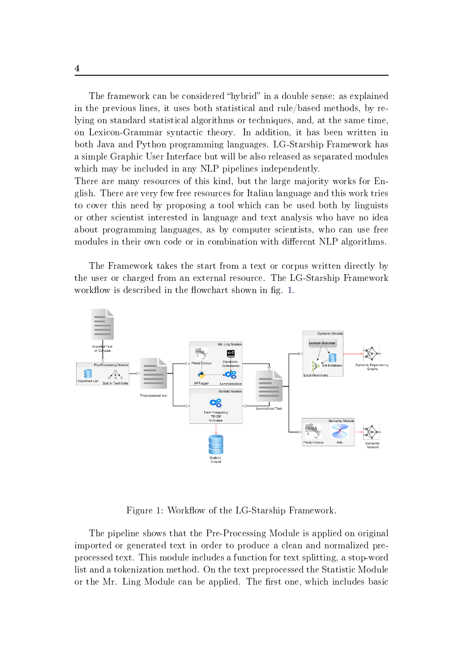The framework can be considered "hybrid" in a double sense: as explained in the previous lines, it uses both statistical and rule/based methods, by relying on standard statistical algorithms or techniques, and, at the same time, on Lexicon-Grammar syntactic theory. In addition, it has been written in both Java and Python programming languages. LG-Starship Framework has a simple Graphic User Interface but will be also released as separated modules which may be included in any NLP pipelines independently.

There are many resources of this kind, but the large majority works for English. There are very few free resources for Italian language and this work tries to cover this need by proposing a tool which can be used both by linguists or other scientist interested in language and text analysis who have no idea about programming languages, as by computer scientists, who can use free modules in their own code or in combination with different NLP algorithms.

The Framework takes the start from a text or corpus written directly by the user or charged from an external resource. The LG-Starship Framework workflow is described in the flowchart shown in fig. [1.](#page-3-0)



Figure 1: Workflow of the LG-Starship Framework.

<span id="page-3-0"></span>The pipeline shows that the Pre-Processing Module is applied on original imported or generated text in order to produce a clean and normalized preprocessed text. This module includes a function for text splitting, a stop-word list and a tokenization method. On the text preprocessed the Statistic Module or the Mr. Ling Module can be applied. The first one, which includes basic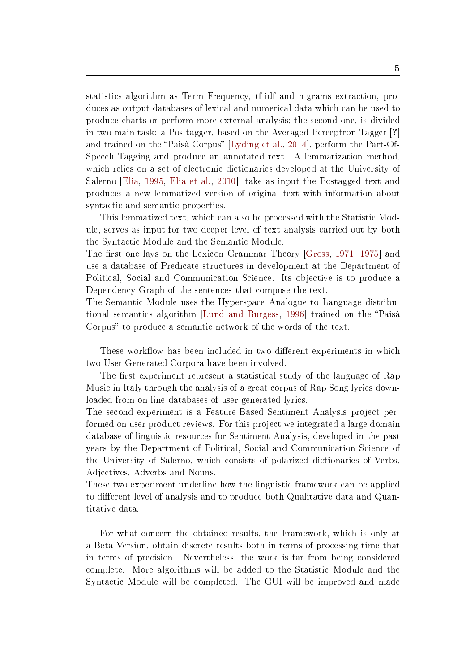<span id="page-4-0"></span>statistics algorithm as Term Frequency, tf-idf and n-grams extraction, produces as output databases of lexical and numerical data which can be used to produce charts or perform more external analysis; the second one, is divided in two main task: a Pos tagger, based on the Averaged Perceptron Tagger [?] and trained on the "Paisà Corpus" [\[Lyding et al.,](#page-6-0) [2014\]](#page-6-0), perform the Part-Of-Speech Tagging and produce an annotated text. A lemmatization method, which relies on a set of electronic dictionaries developed at the University of Salerno [\[Elia,](#page-6-1) [1995,](#page-6-1) [Elia et al.,](#page-6-2) [2010\]](#page-6-2), take as input the Postagged text and produces a new lemmatized version of original text with information about syntactic and semantic properties.

This lemmatized text, which can also be processed with the Statistic Module, serves as input for two deeper level of text analysis carried out by both the Syntactic Module and the Semantic Module.

The first one lays on the Lexicon Grammar Theory [\[Gross,](#page-6-3) [1971,](#page-6-3) [1975\]](#page-6-4) and use a database of Predicate structures in development at the Department of Political, Social and Communication Science. Its objective is to produce a Dependency Graph of the sentences that compose the text.

The Semantic Module uses the Hyperspace Analogue to Language distributional semantics algorithm [\[Lund and Burgess,](#page-6-5) [1996\]](#page-6-5) trained on the Paisà Corpus" to produce a semantic network of the words of the text.

These workflow has been included in two different experiments in which two User Generated Corpora have been involved.

The first experiment represent a statistical study of the language of Rap Music in Italy through the analysis of a great corpus of Rap Song lyrics downloaded from on line databases of user generated lyrics.

The second experiment is a Feature-Based Sentiment Analysis project performed on user product reviews. For this project we integrated a large domain database of linguistic resources for Sentiment Analysis, developed in the past years by the Department of Political, Social and Communication Science of the University of Salerno, which consists of polarized dictionaries of Verbs, Adjectives, Adverbs and Nouns.

These two experiment underline how the linguistic framework can be applied to different level of analysis and to produce both Qualitative data and Quantitative data.

For what concern the obtained results, the Framework, which is only at a Beta Version, obtain discrete results both in terms of processing time that in terms of precision. Nevertheless, the work is far from being considered complete. More algorithms will be added to the Statistic Module and the Syntactic Module will be completed. The GUI will be improved and made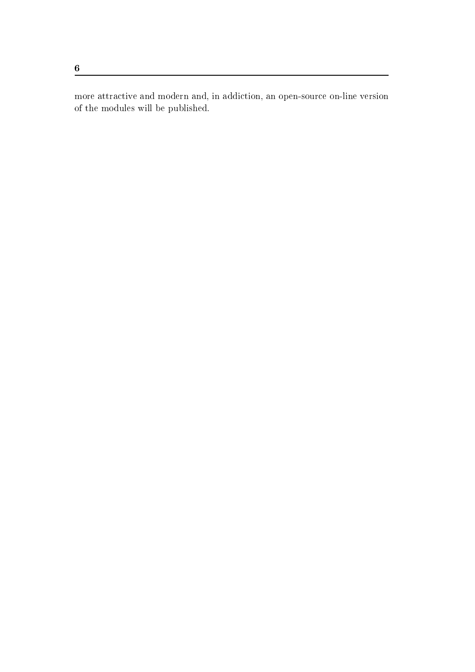more attractive and modern and, in addiction, an open-source on-line version of the modules will be published.